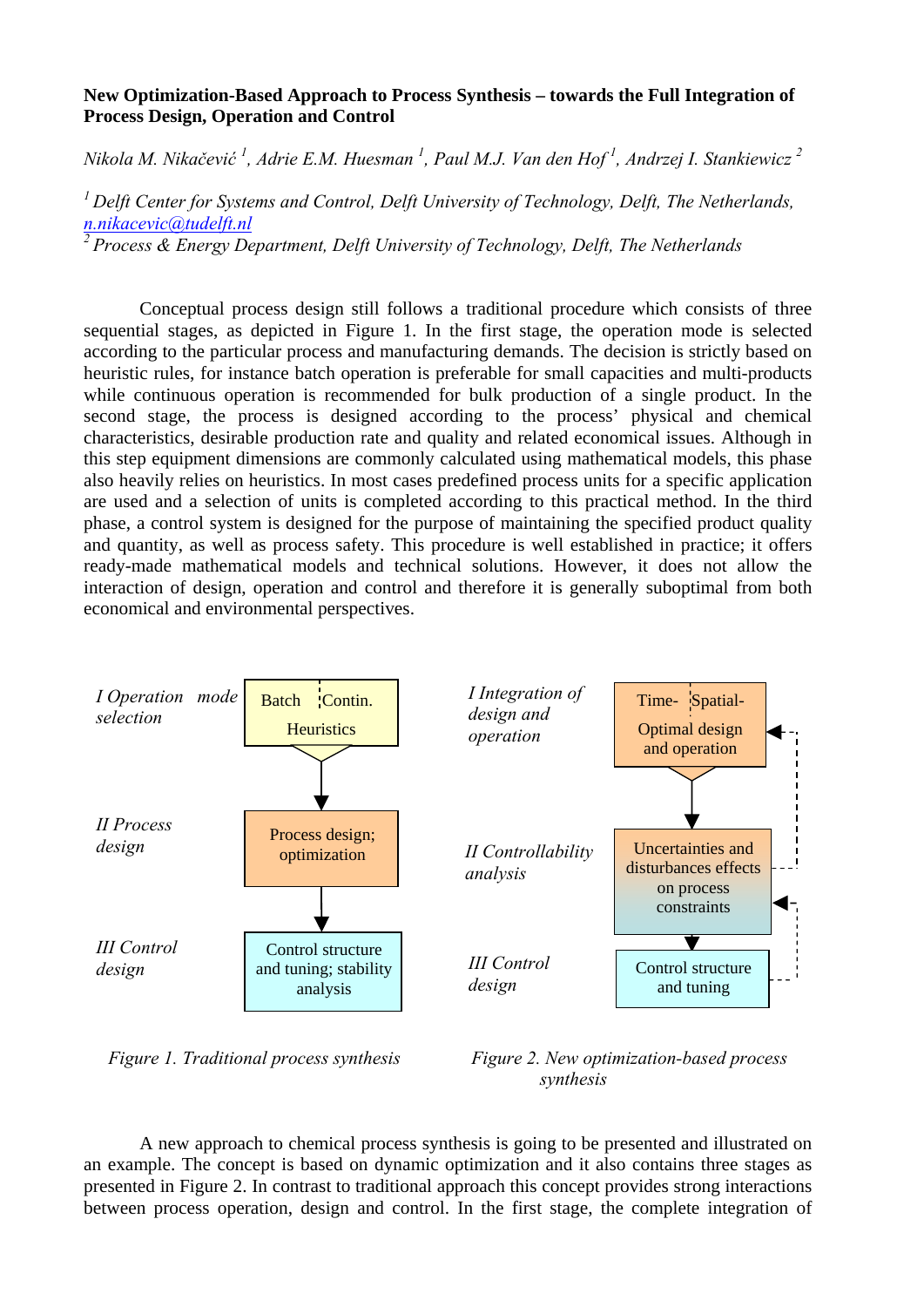## **New Optimization-Based Approach to Process Synthesis – towards the Full Integration of Process Design, Operation and Control**

*Nikola M. Nikačević <sup>1</sup> , Adrie E.M. Huesman 1 , Paul M.J. Van den Hof 1 , Andrzej I. Stankiewicz 2*

*1 Delft Center for Systems and Control, Delft University of Technology, Delft, The Netherlands, n.nikacevic@tudelft.nl 2 Process & Energy Department, Delft University of Technology, Delft, The Netherlands*

Conceptual process design still follows a traditional procedure which consists of three sequential stages, as depicted in Figure 1. In the first stage, the operation mode is selected according to the particular process and manufacturing demands. The decision is strictly based on heuristic rules, for instance batch operation is preferable for small capacities and multi-products

while continuous operation is recommended for bulk production of a single product. In the second stage, the process is designed according to the process' physical and chemical characteristics, desirable production rate and quality and related economical issues. Although in this step equipment dimensions are commonly calculated using mathematical models, this phase also heavily relies on heuristics. In most cases predefined process units for a specific application are used and a selection of units is completed according to this practical method. In the third phase, a control system is designed for the purpose of maintaining the specified product quality and quantity, as well as process safety. This procedure is well established in practice; it offers ready-made mathematical models and technical solutions. However, it does not allow the interaction of design, operation and control and therefore it is generally suboptimal from both economical and environmental perspectives.



*Figure 1. Traditional process synthesis Figure 2. New optimization-based process synthesis*

A new approach to chemical process synthesis is going to be presented and illustrated on an example. The concept is based on dynamic optimization and it also contains three stages as presented in Figure 2. In contrast to traditional approach this concept provides strong interactions between process operation, design and control. In the first stage, the complete integration of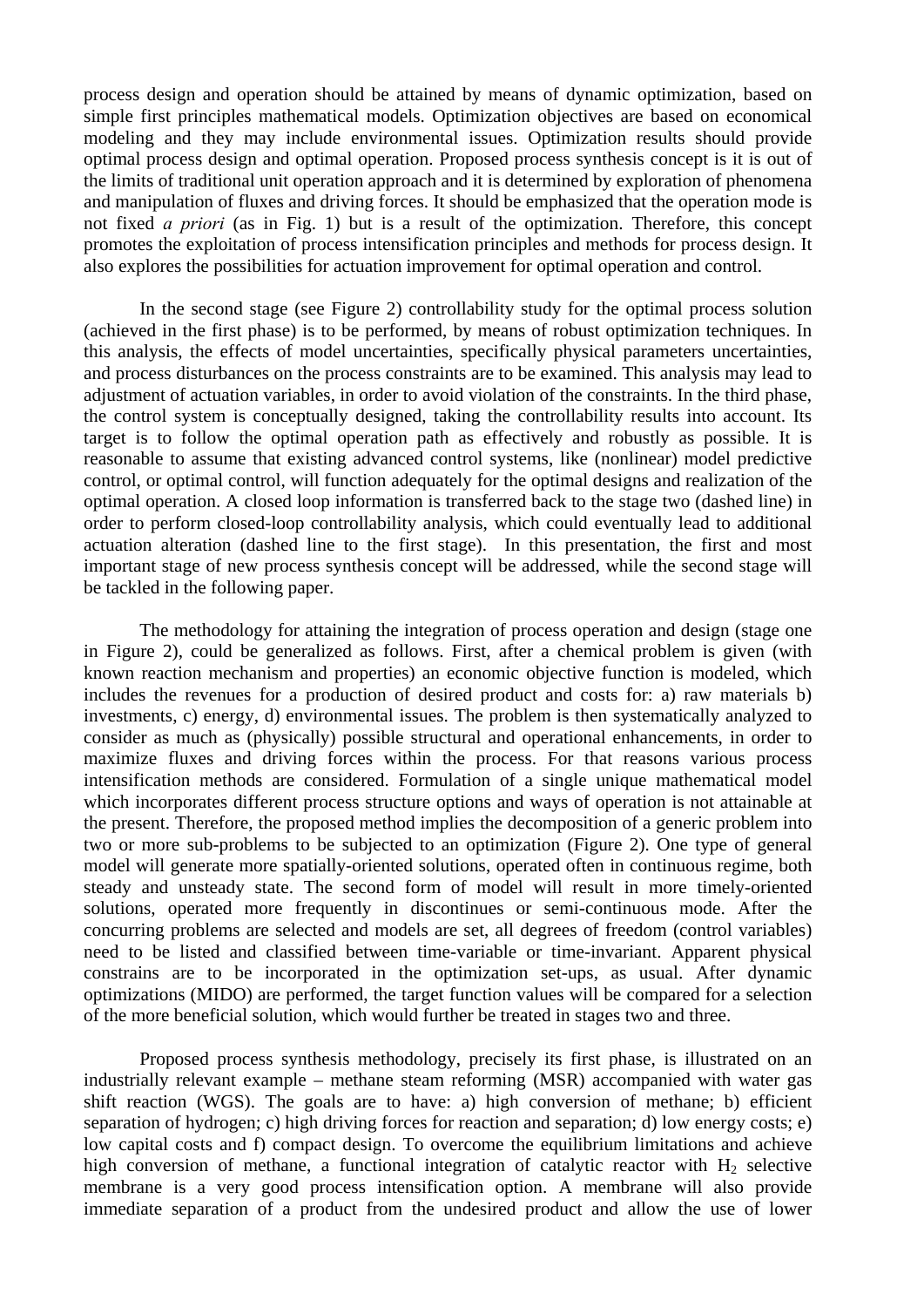process design and operation should be attained by means of dynamic optimization, based on simple first principles mathematical models. Optimization objectives are based on economical modeling and they may include environmental issues. Optimization results should provide optimal process design and optimal operation. Proposed process synthesis concept is it is out of the limits of traditional unit operation approach and it is determined by exploration of phenomena and manipulation of fluxes and driving forces. It should be emphasized that the operation mode is not fixed *a priori* (as in Fig. 1) but is a result of the optimization. Therefore, this concept promotes the exploitation of process intensification principles and methods for process design. It also explores the possibilities for actuation improvement for optimal operation and control.

In the second stage (see Figure 2) controllability study for the optimal process solution (achieved in the first phase) is to be performed, by means of robust optimization techniques. In this analysis, the effects of model uncertainties, specifically physical parameters uncertainties, and process disturbances on the process constraints are to be examined. This analysis may lead to adjustment of actuation variables, in order to avoid violation of the constraints. In the third phase, the control system is conceptually designed, taking the controllability results into account. Its target is to follow the optimal operation path as effectively and robustly as possible. It is reasonable to assume that existing advanced control systems, like (nonlinear) model predictive control, or optimal control, will function adequately for the optimal designs and realization of the optimal operation. A closed loop information is transferred back to the stage two (dashed line) in order to perform closed-loop controllability analysis, which could eventually lead to additional actuation alteration (dashed line to the first stage). In this presentation, the first and most important stage of new process synthesis concept will be addressed, while the second stage will be tackled in the following paper.

The methodology for attaining the integration of process operation and design (stage one in Figure 2), could be generalized as follows. First, after a chemical problem is given (with known reaction mechanism and properties) an economic objective function is modeled, which includes the revenues for a production of desired product and costs for: a) raw materials b) investments, c) energy, d) environmental issues. The problem is then systematically analyzed to consider as much as (physically) possible structural and operational enhancements, in order to maximize fluxes and driving forces within the process. For that reasons various process intensification methods are considered. Formulation of a single unique mathematical model which incorporates different process structure options and ways of operation is not attainable at the present. Therefore, the proposed method implies the decomposition of a generic problem into two or more sub-problems to be subjected to an optimization (Figure 2). One type of general model will generate more spatially-oriented solutions, operated often in continuous regime, both steady and unsteady state. The second form of model will result in more timely-oriented solutions, operated more frequently in discontinues or semi-continuous mode. After the concurring problems are selected and models are set, all degrees of freedom (control variables) need to be listed and classified between time-variable or time-invariant. Apparent physical constrains are to be incorporated in the optimization set-ups, as usual. After dynamic optimizations (MIDO) are performed, the target function values will be compared for a selection of the more beneficial solution, which would further be treated in stages two and three.

Proposed process synthesis methodology, precisely its first phase, is illustrated on an industrially relevant example – methane steam reforming (MSR) accompanied with water gas shift reaction (WGS). The goals are to have: a) high conversion of methane; b) efficient separation of hydrogen; c) high driving forces for reaction and separation; d) low energy costs; e) low capital costs and f) compact design. To overcome the equilibrium limitations and achieve high conversion of methane, a functional integration of catalytic reactor with  $H_2$  selective membrane is a very good process intensification option. A membrane will also provide immediate separation of a product from the undesired product and allow the use of lower